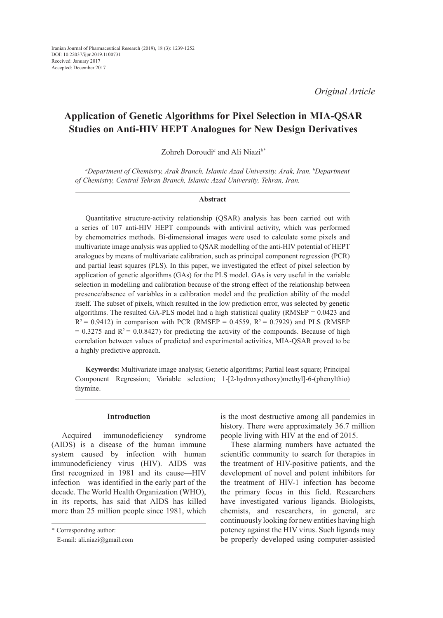*Original Article*

# **Application of Genetic Algorithms for Pixel Selection in MIA-QSAR Studies on Anti-HIV HEPT Analogues for New Design Derivatives**

Zohreh Doroudi*<sup>a</sup>* and Ali Niazi*b\**

*a Department of Chemistry, Arak Branch, Islamic Azad University, Arak, Iran. b Department of Chemistry, Central Tehran Branch, Islamic Azad University, Tehran, Iran.*

#### **Abstract**

Quantitative structure-activity relationship (QSAR) analysis has been carried out with a series of 107 anti-HIV HEPT compounds with antiviral activity, which was performed by chemometrics methods. Bi-dimensional images were used to calculate some pixels and multivariate image analysis was applied to QSAR modelling of the anti-HIV potential of HEPT analogues by means of multivariate calibration, such as principal component regression (PCR) and partial least squares (PLS). In this paper, we investigated the effect of pixel selection by application of genetic algorithms (GAs) for the PLS model. GAs is very useful in the variable selection in modelling and calibration because of the strong effect of the relationship between presence/absence of variables in a calibration model and the prediction ability of the model itself. The subset of pixels, which resulted in the low prediction error, was selected by genetic algorithms. The resulted GA-PLS model had a high statistical quality (RMSEP  $= 0.0423$  and  $R^2 = 0.9412$ ) in comparison with PCR (RMSEP = 0.4559,  $R^2 = 0.7929$ ) and PLS (RMSEP  $= 0.3275$  and  $R^2 = 0.0.8427$ ) for predicting the activity of the compounds. Because of high correlation between values of predicted and experimental activities, MIA-QSAR proved to be a highly predictive approach.

**Keywords:** Multivariate image analysis; Genetic algorithms; Partial least square; Principal Component Regression; Variable selection; 1-[2-hydroxyethoxy)methyl]-6-(phenylthio) thymine.

# **Introduction**

Acquired immunodeficiency syndrome (AIDS) is a disease of the human immune system caused by infection with human immunodeficiency virus (HIV). AIDS was first recognized in 1981 and its cause—HIV infection—was identified in the early part of the decade. The World Health Organization (WHO), in its reports, has said that AIDS has killed more than 25 million people since 1981, which is the most destructive among all pandemics in history. There were approximately 36.7 million people living with HIV at the end of 2015.

These alarming numbers have actuated the scientific community to search for therapies in the treatment of HIV-positive patients, and the development of novel and potent inhibitors for the treatment of HIV-1 infection has become the primary focus in this field. Researchers have investigated various ligands. Biologists, chemists, and researchers, in general, are continuously looking for new entities having high potency against the HIV virus. Such ligands may be properly developed using computer-assisted

<sup>\*</sup> Corresponding author:

E-mail: ali.niazi@gmail.com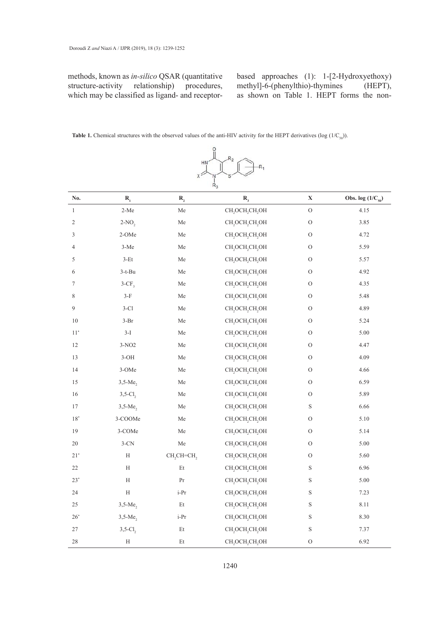methods, known as *in-silico* QSAR (quantitative based approaches (1): 1-[2-Hydroxy structure-activity relationship) procedures, which may be classified as ligand- and receptorrelationship)

based approaches (1): 1-[2-Hydroxyethoxy) methyl]-6-(phenylthio)-thymines (HEPT), as shown on Table 1. HEPT forms the non-

**Table 1.** Chemical structures with the observed values of the anti-HIV activity for the HEPT derivatives ( $log(1/C_{50})$ ).



| No.            | $R_{1}$                | $R_{2}$                            | $R_{3}$                                             | $\mathbf X$    | Obs. $log(1/C_{50})$ |
|----------------|------------------------|------------------------------------|-----------------------------------------------------|----------------|----------------------|
| $\,1$          | $2-Me$                 | ${\rm Me}$                         | CH <sub>2</sub> OCH <sub>2</sub> CH <sub>2</sub> OH | ${\rm O}$      | 4.15                 |
| $\sqrt{2}$     | $2-NO2$                | ${\rm Me}$                         | CH <sub>2</sub> OCH <sub>2</sub> CH <sub>2</sub> OH | $\mathcal{O}$  | 3.85                 |
| 3              | 2-OMe                  | Me                                 | CH, OCH, CH, OH                                     | $\mathcal{O}$  | 4.72                 |
| $\overline{4}$ | $3-Me$                 | Me                                 | CH <sub>2</sub> OCH <sub>2</sub> CH <sub>2</sub> OH | O              | 5.59                 |
| 5              | $3-Et$                 | Me                                 | CH, OCH, CH, OH                                     | $\mathcal{O}$  | 5.57                 |
| 6              | $3-t-Bu$               | Me                                 | CH, OCH, CH, OH                                     | O              | 4.92                 |
| $\tau$         | $3-CF3$                | Me                                 | CH, OCH, CH, OH                                     | $\mathcal O$   | 4.35                 |
| $\,$ 8 $\,$    | $3-F$                  | Me                                 | CH, OCH, CH, OH                                     | $\mathcal O$   | 5.48                 |
| 9              | $3-C1$                 | Me                                 | CH, OCH, CH, OH                                     | $\mathcal{O}$  | 4.89                 |
| $10\,$         | $3-Br$                 | Me                                 | CH, OCH, CH, OH                                     | $\mathcal O$   | 5.24                 |
| $11^*$         | $3-I$                  | Me                                 | CH, OCH, CH, OH                                     | $\mathcal{O}$  | $5.00\,$             |
| $12\,$         | $3-NO2$                | Me                                 | CH, OCH, CH, OH                                     | $\mathcal O$   | 4.47                 |
| 13             | $3-OH$                 | ${\rm Me}$                         | CH, OCH, CH, OH                                     | $\mathcal{O}$  | 4.09                 |
| 14             | $3-OMe$                | Me                                 | CH, OCH, CH, OH                                     | $\rm{O}$       | 4.66                 |
| $15\,$         | $3,5-Me$               | Me                                 | CH, OCH, CH, OH                                     | $\rm{O}$       | 6.59                 |
| $16\,$         | $3,5$ -Cl <sub>2</sub> | Me                                 | CH, OCH, CH, OH                                     | $\rm{O}$       | 5.89                 |
| $17\,$         | $3,5-Me$               | ${\rm Me}$                         | CH, OCH, CH, OH                                     | $\mathbf S$    | 6.66                 |
| $18^*$         | 3-COOMe                | Me                                 | CH, OCH, CH, OH                                     | O              | 5.10                 |
| 19             | 3-COMe                 | Me                                 | CH, OCH, CH, OH                                     | $\mathcal{O}$  | 5.14                 |
| $20\,$         | $3-CN$                 | Me                                 | CH <sub>2</sub> OCH <sub>2</sub> CH <sub>2</sub> OH | O              | 5.00                 |
| $21^*$         | $\mathbf H$            | CH <sub>2</sub> CH=CH <sub>2</sub> | CH, OCH, CH, OH                                     | O              | 5.60                 |
| 22             | Η                      | Et                                 | CH, OCH, CH, OH                                     | S              | 6.96                 |
| $23^*$         | Η                      | Pr                                 | CH, OCH, CH, OH                                     | $\mathbf S$    | 5.00                 |
| 24             | $\rm H$                | $i-Pr$                             | CH, OCH, CH, OH                                     | $\mathbf S$    | 7.23                 |
| 25             | $3,5-Me$               | Et                                 | CH, OCH, CH, OH                                     | $\mathbf S$    | 8.11                 |
| $26^*$         | $3,5-Me$               | i-Pr                               | CH, OCH, CH, OH                                     | S              | 8.30                 |
| 27             | $3,5-Cl$               | $\mathop{\mathrm{Et}}$             | CH, OCH, CH, OH                                     | $\mathbf S$    | 7.37                 |
| $28\,$         | $\rm H$                | Et                                 | CH, OCH, CH, OH                                     | $\overline{O}$ | 6.92                 |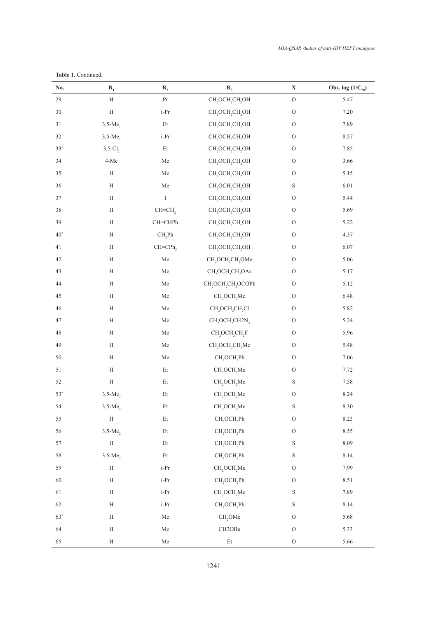*MIA-QSAR studies of anti-HIV HEPT analgous*

| No.<br>$\mathbf{R}_{1}$ |                           | $R_{2}$                | $R_{3}$                                                         | $\mathbf X$   | Obs. $log(1/C_{50})$ |
|-------------------------|---------------------------|------------------------|-----------------------------------------------------------------|---------------|----------------------|
| 29                      | $\boldsymbol{\mathrm{H}}$ | $\Pr$                  | CH <sub>2</sub> OCH <sub>2</sub> CH <sub>2</sub> OH             | ${\rm O}$     | 5.47                 |
| 30                      | $\rm H$                   | $\operatorname{i-Pr}$  | CH, OCH, CH, OH                                                 | ${\rm O}$     | 7.20                 |
| 31                      | $3,5-Me$                  | $\mathop{\mathrm{Et}}$ | CH, OCH, CH, OH                                                 | ${\rm O}$     | 7.89                 |
| 32                      | $3,5-Me$                  | $i-Pr$                 | CH, OCH, CH, OH                                                 | ${\rm O}$     | 8.57                 |
| $33^{\circ}$            | $3,5$ -Cl <sub>2</sub>    | Et                     | CH <sub>2</sub> OCH <sub>2</sub> CH <sub>2</sub> OH             | $\mathcal O$  | 7.85                 |
| 34                      | $4-Me$                    | Me                     | CH, OCH, CH, OH                                                 | ${\rm O}$     | 3.66                 |
| 35                      | $\mathbf H$               | ${\rm Me}$             | CH <sub>2</sub> OCH <sub>2</sub> CH <sub>2</sub> OH             | $\mathcal O$  | 5.15                 |
| 36                      | $\mathbf H$               | ${\rm Me}$             | CH <sub>2</sub> OCH <sub>2</sub> CH <sub>2</sub> OH             | $\mathbf S$   | 6.01                 |
| 37                      | $\rm H$                   | $\rm I$                | CH, OCH, CH, OH                                                 | $\mathcal{O}$ | 5.44                 |
| $38\,$                  | $\mathbf H$               | CH=CH <sub>2</sub>     | CH <sub>2</sub> OCH <sub>2</sub> CH <sub>2</sub> OH             | ${\rm O}$     | 5.69                 |
| 39                      | $\mathbf H$               | $CH=CHPh$              | CH <sub>2</sub> OCH <sub>2</sub> CH <sub>2</sub> OH             | ${\rm O}$     | 5.22                 |
| $40^*$                  | $\rm H$                   | $CH_2Ph$               | CH, OCH, CH, OH                                                 | $\mathcal O$  | 4.37                 |
| 41                      | $\mathbf H$               | CH=CPh,                | CH <sub>2</sub> OCH <sub>2</sub> CH <sub>2</sub> OH             | $\mathcal O$  | $6.07\,$             |
| 42                      | $\rm H$                   | ${\rm Me}$             | CH <sub>2</sub> OCH <sub>2</sub> CH <sub>2</sub> OMe            | $\mathcal O$  | 5.06                 |
| 43                      | $\rm H$                   | ${\rm Me}$             | CH <sub>2</sub> OCH <sub>2</sub> CH <sub>2</sub> OAc            | $\mathcal O$  | 5.17                 |
| 44                      | $\mathbf H$               | Me                     | CH, OCH, CH, OCOPh                                              | ${\rm O}$     | 5.12                 |
| 45                      | $\rm H$                   | ${\rm Me}$             | CH <sub>2</sub> OCH <sub>2</sub> Me                             | $\mathcal O$  | 6.48                 |
| 46                      | $\mathbf H$               | ${\rm Me}$             | CH <sub>2</sub> OCH <sub>2</sub> CH <sub>2</sub> Cl             | ${\rm O}$     | 5.82                 |
| $47\,$                  | $\mathbf H$               | ${\rm Me}$             | CH <sub>2</sub> OCH <sub>2</sub> CH <sub>2</sub> N <sub>3</sub> | $\mathcal O$  | 5.24                 |
| $\sqrt{48}$             | $\rm H$                   | Me                     | CH <sub>2</sub> OCH <sub>2</sub> CH <sub>2</sub> F              | $\mathcal O$  | 5.96                 |
| 49                      | $\mathbf H$               | Me                     | CH, OCH, CH, Me                                                 | ${\rm O}$     | 5.48                 |
| 50                      | $\mathbf H$               | ${\rm Me}$             | CH <sub>2</sub> OCH <sub>2</sub> Ph                             | $\mathcal O$  | $7.06\,$             |
| 51                      | $\mathbf H$               | $\mathop{\mathrm{Et}}$ | CH <sub>2</sub> OCH <sub>2</sub> Me                             | $\mathcal O$  | 7.72                 |
| 52                      | $\mathbf H$               | $\mathop{\mathrm{Et}}$ | CH <sub>2</sub> OCH <sub>2</sub> Me                             | $\mathbf S$   | 7.58                 |
| $53*$                   | $3,5-Me$                  | $\mathop{\mathrm{Et}}$ | CH <sub>2</sub> OCH <sub>2</sub> Me                             | ${\rm O}$     | 8.24                 |
| 54                      | $3,5-Me2$                 | $\mathop{\mathrm{Et}}$ | CH <sub>2</sub> OCH <sub>2</sub> Me                             | $\mathbf S$   | 8.30                 |
| 55                      | $\rm H$                   | $\mathop{\mathrm{Et}}$ | CH <sub>2</sub> OCH <sub>2</sub> Ph                             | $\rm{O}$      | 8.23                 |
| 56                      | $3,5-Me2$                 | $\mathop{\mathrm{Et}}$ | $CH_2OCH_2Ph$                                                   | $\mathcal O$  | 8.55                 |
| 57                      | $\rm H$                   | $\mathop{\mathrm{Et}}$ | $CH_2OCH_2Ph$                                                   | $\mathbf S$   | 8.09                 |
| 58                      | $3,5-Me$                  | $\mathop{\mathrm{Et}}$ | CH <sub>2</sub> OCH <sub>2</sub> Ph                             | $\mathbf S$   | 8.14                 |
| 59                      | $\mathbf H$               | $i-Pr$                 | CH <sub>2</sub> OCH <sub>2</sub> Me                             | $\mathcal O$  | 7.99                 |
| $60\,$                  | $\mathbf H$               | $i$ -Pr                | CH <sub>2</sub> OCH <sub>2</sub> Ph                             | $\mathcal O$  | 8.51                 |
| 61                      | $\mathbf H$               | i-Pr                   | CH <sub>2</sub> OCH <sub>2</sub> Me                             | $\mathbf S$   | 7.89                 |
| 62                      | H                         | $i$ -Pr                | $CH_2OCH_2Ph$                                                   | $\mathbf S$   | 8.14                 |
| $63^*$                  | $\mathbf H$               | ${\rm Me}$             | CH <sub>2</sub> OMe                                             | $\mathcal O$  | 5.68                 |
| 64                      | H                         | Me                     | CH2OBu                                                          | ${\rm O}$     | 5.33                 |
| 65                      | $\mathbf H$               | ${\rm Me}$             | $\mathop{\hbox{\rm Et}}$                                        | ${\rm O}$     | 5.66                 |

**Table 1.** Continued.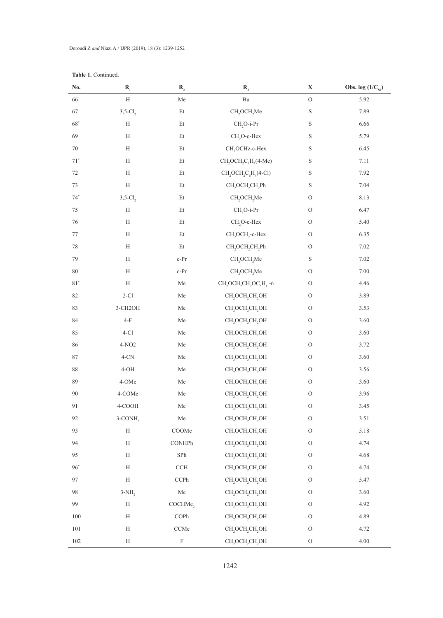| No.          | $\mathbf{R}_{\text{1}}$ | $\mathbf{R}_{\scriptscriptstyle{2}}$ | $\mathbf{R}_{_3}$                                                                   | $\mathbf X$   | Obs. $log(1/C_{50})$ |
|--------------|-------------------------|--------------------------------------|-------------------------------------------------------------------------------------|---------------|----------------------|
| 66           | $\mathbf H$             | ${\rm Me}$                           | $\mathbf{B}\mathbf{u}$                                                              | ${\rm O}$     | 5.92                 |
| 67           | $3,5-Cl2$               | $\mathop{\hbox{\rm Et}}$             | $CH_2OCH_2Me$                                                                       | $\mathbf S$   | 7.89                 |
| $68^\ast$    | H                       | Et                                   | CH <sub>,</sub> O-i-Pr                                                              | $\mathbf S$   | 6.66                 |
| 69           | $\rm H$                 | Et                                   | CH <sub>2</sub> O-c-Hex                                                             | $\mathbf S$   | 5.79                 |
| $70\,$       | $\rm H$                 | $\mathop{\mathrm{Et}}$               | CH <sub>2</sub> OCHz-c-Hex                                                          | $\mathbf S$   | 6.45                 |
| $71^{\circ}$ | $\rm H$                 | $\mathop{\mathrm{Et}}$               | $CH, OCH, C6H4(4-Me)$                                                               | $\mathbf S$   | 7.11                 |
| $72\,$       | $\rm H$                 | Et                                   | $CH_2OCH_2C_6H_4(4-Cl)$                                                             | $\mathbf S$   | 7.92                 |
| $73\,$       | $\rm H$                 | Et                                   | CH <sub>2</sub> OCH <sub>2</sub> CH <sub>2</sub> Ph                                 | $\mathbf S$   | 7.04                 |
| $74^\circ$   | $3,5-Cl$ ,              | Et                                   | CH <sub>2</sub> OCH <sub>2</sub> Me                                                 | ${\cal O}$    | 8.13                 |
| $75\,$       | $\rm H$                 | Et                                   | CH <sub>2</sub> O-i-Pr                                                              | ${\rm O}$     | 6.47                 |
| $76\,$       | $\rm H$                 | Et                                   | CH <sub>2</sub> O-c-Hex                                                             | ${\rm O}$     | 5.40                 |
| $77\,$       | H                       | $\mathop{\mathrm{Et}}$               | CH <sub>2</sub> OCH <sub>2</sub> -c-Hex                                             | ${\rm O}$     | 6.35                 |
| $78\,$       | $\rm H$                 | $\mathop{\mathrm{Et}}$               | CH <sub>2</sub> OCH <sub>2</sub> CH <sub>2</sub> Ph                                 | ${\rm O}$     | $7.02\,$             |
| 79           | $\rm H$                 | $c-Pr$                               | CH <sub>2</sub> OCH <sub>2</sub> Me                                                 | $\mathbf S$   | $7.02\,$             |
| $80\,$       | $\rm H$                 | $c-Pr$                               | CH <sub>2</sub> OCH <sub>2</sub> Me                                                 | $\mathcal O$  | $7.00\,$             |
| $81^{\circ}$ | $\mathbf H$             | ${\rm Me}$                           | CH <sub>2</sub> OCH <sub>2</sub> CH <sub>2</sub> OC <sub>2</sub> H <sub>11</sub> -n | ${\rm O}$     | 4.46                 |
| $82\,$       | $2-C1$                  | ${\rm Me}$                           | CH <sub>2</sub> OCH <sub>2</sub> CH <sub>2</sub> OH                                 | ${\rm O}$     | 3.89                 |
| 83           | 3-CH2OH                 | ${\rm Me}$                           | CH <sub>2</sub> OCH <sub>2</sub> CH <sub>2</sub> OH                                 | $\mathcal O$  | 3.53                 |
| 84           | $4-F$                   | ${\rm Me}$                           | CH <sub>2</sub> OCH <sub>2</sub> CH <sub>2</sub> OH                                 | ${\rm O}$     | 3.60                 |
| 85           | $4-C1$                  | ${\rm Me}$                           | CH, OCH, CH, OH                                                                     | $\mathcal O$  | 3.60                 |
| 86           | 4-NO <sub>2</sub>       | ${\rm Me}$                           | CH <sub>2</sub> OCH <sub>2</sub> CH <sub>2</sub> OH                                 | ${\rm O}$     | 3.72                 |
| $\bf 87$     | $4$ -CN                 | ${\rm Me}$                           | CH <sub>2</sub> OCH <sub>2</sub> CH <sub>2</sub> OH                                 | ${\rm O}$     | 3.60                 |
| $88\,$       | $4-OH$                  | ${\rm Me}$                           | CH <sub>2</sub> OCH <sub>2</sub> CH <sub>2</sub> OH                                 | $\mathcal O$  | 3.56                 |
| 89           | 4-OMe                   | ${\rm Me}$                           | CH <sub>2</sub> OCH <sub>2</sub> CH <sub>2</sub> OH                                 | ${\rm O}$     | 3.60                 |
| $90\,$       | 4-COMe                  | ${\rm Me}$                           | CH <sub>2</sub> OCH <sub>2</sub> CH <sub>2</sub> OH                                 | ${\rm O}$     | 3.96                 |
| 91           | 4-COOH                  | Me                                   | CH <sub>2</sub> OCH <sub>2</sub> CH <sub>2</sub> OH                                 | $\mathcal{O}$ | 3.45                 |
| 92           | $3$ -CONH <sub>2</sub>  | Me                                   | CH <sub>2</sub> OCH <sub>2</sub> CH <sub>2</sub> OH                                 | $\mathcal{O}$ | 3.51                 |
| 93           | $\rm H$                 | CO <sub>O</sub> Me                   | CH, OCH, CH, OH                                                                     | $\mathcal O$  | 5.18                 |
| 94           | $\rm H$                 | CONHPh                               | CH <sub>2</sub> OCH <sub>2</sub> CH <sub>2</sub> OH                                 | $\mathcal O$  | 4.74                 |
| 95           | H                       | ${\rm SPh}$                          | CH, OCH, CH, OH                                                                     | $\mathcal O$  | 4.68                 |
| $96^*$       | H                       | $\rm CCH$                            | CH, OCH, CH, OH                                                                     | $\mathcal O$  | 4.74                 |
| 97           | $\rm H$                 | $\ensuremath{\text{CCPh}}$           | $CH_2OCH_2CH_2OH$                                                                   | $\mathcal O$  | 5.47                 |
| 98           | $3-NH$ ,                | ${\rm Me}$                           | CH <sub>2</sub> OCH <sub>2</sub> CH <sub>2</sub> OH                                 | $\mathcal O$  | 3.60                 |
| 99           | H                       | COCHMe <sub>2</sub>                  | CH <sub>2</sub> OCH <sub>2</sub> CH <sub>2</sub> OH                                 | $\mathcal{O}$ | 4.92                 |
| $100\,$      | H                       | $\mbox{COPh}$                        | CH, OCH, CH, OH                                                                     | $\mathcal O$  | 4.89                 |
| 101          | $\rm H$                 | CCMe                                 | CH, OCH, CH, OH                                                                     | $\mathcal O$  | 4.72                 |
| $102\,$      | $\rm H$                 | $\mathbf F$                          | CH <sub>2</sub> OCH <sub>2</sub> CH <sub>2</sub> OH                                 | ${\rm O}$     | 4.00                 |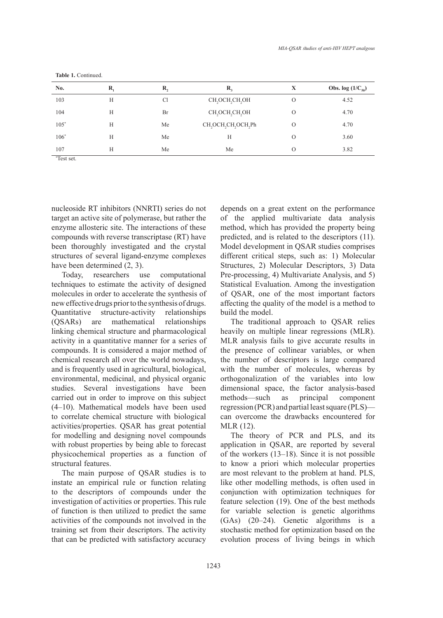| No.    | R, | R, | $\mathbf{R}_{i}$                                                     | X        | <b>Obs.</b> log $(1/C_{50})$ |
|--------|----|----|----------------------------------------------------------------------|----------|------------------------------|
| 103    | Н  | C1 | CH <sub>2</sub> OCH <sub>2</sub> CH <sub>2</sub> OH                  | $\circ$  | 4.52                         |
| 104    | Н  | Br | CH <sub>2</sub> OCH <sub>2</sub> CH <sub>2</sub> OH                  | $\Omega$ | 4.70                         |
| $105*$ | Н  | Me | CH <sub>2</sub> OCH <sub>2</sub> CH <sub>2</sub> OCH <sub>2</sub> Ph | $\circ$  | 4.70                         |
| $106*$ | H  | Me | H                                                                    | $\Omega$ | 3.60                         |
| 107    | H  | Me | Me                                                                   | $\Omega$ | 3.82                         |

**Table 1.** Continued.

\* Test set.

nucleoside RT inhibitors (NNRTI) series do not target an active site of polymerase, but rather the enzyme allosteric site. The interactions of these compounds with reverse transcriptase (RT) have been thoroughly investigated and the crystal structures of several ligand-enzyme complexes have been determined (2, 3).

Today, researchers use computational techniques to estimate the activity of designed molecules in order to accelerate the synthesis of new effective drugs prior to the synthesis of drugs. Quantitative structure-activity relationships (QSARs) are mathematical relationships linking chemical structure and pharmacological activity in a quantitative manner for a series of compounds. It is considered a major method of chemical research all over the world nowadays, and is frequently used in agricultural, biological, environmental, medicinal, and physical organic studies. Several investigations have been carried out in order to improve on this subject (4–10). Mathematical models have been used to correlate chemical structure with biological activities/properties. QSAR has great potential for modelling and designing novel compounds with robust properties by being able to forecast physicochemical properties as a function of structural features.

The main purpose of QSAR studies is to instate an empirical rule or function relating to the descriptors of compounds under the investigation of activities or properties. This rule of function is then utilized to predict the same activities of the compounds not involved in the training set from their descriptors. The activity that can be predicted with satisfactory accuracy depends on a great extent on the performance of the applied multivariate data analysis method, which has provided the property being predicted, and is related to the descriptors (11). Model development in QSAR studies comprises different critical steps, such as: 1) Molecular Structures, 2) Molecular Descriptors, 3) Data Pre-processing, 4) Multivariate Analysis, and 5) Statistical Evaluation. Among the investigation of QSAR, one of the most important factors affecting the quality of the model is a method to build the model.

The traditional approach to QSAR relies heavily on multiple linear regressions (MLR). MLR analysis fails to give accurate results in the presence of collinear variables, or when the number of descriptors is large compared with the number of molecules, whereas by orthogonalization of the variables into low dimensional space, the factor analysis-based methods—such as principal component regression (PCR) and partial least square (PLS) can overcome the drawbacks encountered for MLR (12).

The theory of PCR and PLS, and its application in QSAR, are reported by several of the workers (13–18). Since it is not possible to know a priori which molecular properties are most relevant to the problem at hand. PLS, like other modelling methods, is often used in conjunction with optimization techniques for feature selection (19). One of the best methods for variable selection is genetic algorithms (GAs) (20–24). Genetic algorithms is a stochastic method for optimization based on the evolution process of living beings in which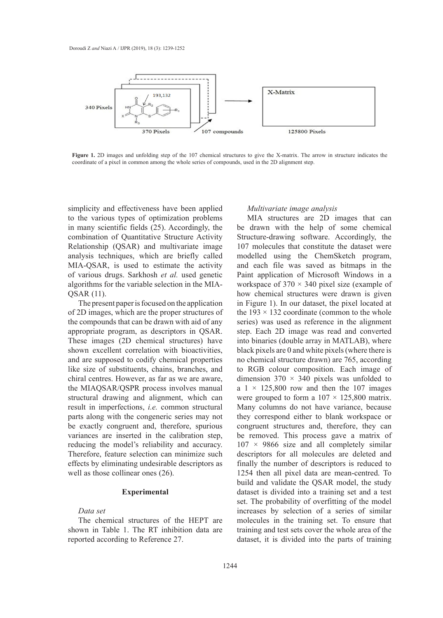

coordinate of a pixel in common among the whole series of compounds, used in the 2D alignment step. **Figure 1.** 2D images and unfolding step of the 107 chemical structures to give the X-matrix. The arrow in structure indicates the

simplicity and effectiveness have been applied to the various types of optimization problems in many scientific fields (25). Accordingly, the combination of Quantitative Structure Activity Relationship (QSAR) and multivariate image 1 analysis techniques, which are briefly called modelled using the ChemSketch MIA-QSAR, is used to estimate the activity of various drugs. Sarkhosh *et al.* used genetic Paint application of Microsoft Wind algorithms for the variable selection in the MIA- workspace of  $370 \times 340$  pixel size (ex QSAR (11).

The present paper is focused on the application of 2D images, which are the proper structures of the  $193 \times 132$  coordinate (common to the compounds that can be drawn with aid of any series) was used as reference in the a appropriate program, as descriptors in QSAR. These images  $(2D)$  chemical structures) have shown excellent correlation with bioactivities, black pixels are 0 and white pixels (wl and are supposed to codify chemical properties like size of substituents, chains, branches, and to RGB colour composition chiral centres. However, as far as we are aware, dimension  $370 \times 340$  pixels way the MIAQSAR/QSPR process involves manual structural drawing and alignment, which can result in imperfections, *i.e.* common structural parts along with the congeneric series may not be exactly congruent and, therefore, spurious variances are inserted in the calibration step, reducing the model's reliability and accuracy. Therefore, feature selection can minimize such descriptors for all molecules are de effects by eliminating undesirable descriptors as finall well as those collinear ones (26).

# **Experimental**

# *Data set*

The chemical structures of the HEPT are shown in Table 1. The RT inhibition data are reported according to Reference 27.

### *Multivariate image analysis*

MIA structures are 2D images that can cientific fields  $(25)$ . Accordingly, the be drawn with the help of some chemical Structure-drawing software. Accordingly, the 107 molecules that constitute the dataset were modelled using the ChemSketch program, and each file was saved as bitmaps in the Paint application of Microsoft Windows in a workspace of  $370 \times 340$  pixel size (example of how chemical structures were drawn is given In Figure 1). In our dataset, the pixel located at the present paper is focused on the application in Figure 1). In our dataset, the pixel located at the  $193 \times 132$  coordinate (common to the whole series) was used as reference in the alignment step. Each 2D image was read and converted into binaries (double array in MATLAB), where black pixels are 0 and white pixels (where there is no chemical structure drawn) are 765, according to RGB colour composition. Each image of dimension  $370 \times 340$  pixels was unfolded to a  $1 \times 125,800$  row and then the 107 images were grouped to form a  $107 \times 125,800$  matrix. Many columns do not have variance, because they correspond either to blank workspace or congruent structures and, therefore, they can be removed. This process gave a matrix of  $107 \times 9866$  size and all completely similar descriptors for all molecules are deleted and finally the number of descriptors is reduced to 1254 then all pixel data are mean-centred. To build and validate the QSAR model, the study dataset is divided into a training set and a test set. The probability of overfitting of the model increases by selection of a series of similar molecules in the training set. To ensure that training and test sets cover the whole area of the dataset, it is divided into the parts of training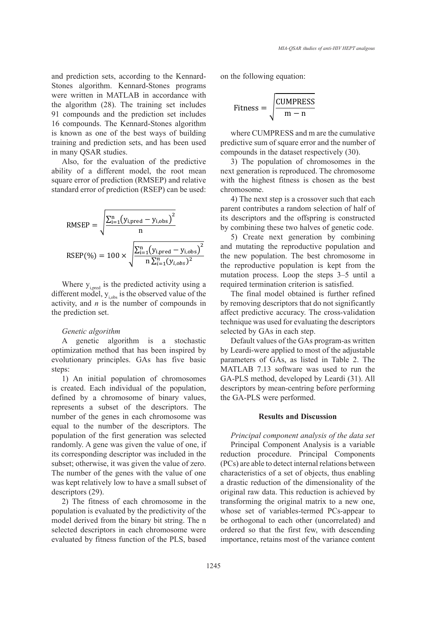and prediction sets, according to the Kennardand prediction sets, according to the remiard-<br>Stones algorithm. Kennard-Stones programs were written in MATLAB in accordance with  $\sqrt{\text{gauge}}$ the algorithm (28). The training set includes  $\frac{\text{Fitness}}{\text{Fitness}} = \frac{\text{LUMPHESS}}{\text{Lum}}$ 91 compounds and the prediction set includes 16 compounds. The Kennard-Stones algorithm is known as one of the best ways of building where CUMPRESS and m are the training and prediction sets, and has been used predictive sum of square errors in many OSAR studies. in many QSAR studies.

Also, for the evaluation of the predictive ability of a different model as Also, for the evaluation of chromoson ability of a different model, the root mean next generation is reproduced. The ch square error of prediction (RMSEP) and relative standard error of prediction (RSEP) can be used: be used:

RMSEP = 
$$
\sqrt{\frac{\sum_{i=1}^{n} (y_{i,pred} - y_{i,obs})^2}{n}}
$$
  
RSEP(%) = 100 ×  $\sqrt{\frac{\sum_{i=1}^{n} (y_{i,pred} - y_{i,obs})^2}{n \sum_{i=1}^{n} (y_{i,obs})^2}}$ 

Where  $y_{i,pred}$  is the predicted activity using a different model,  $y_{i,obs}$  is the observed value of the activity, and *n* is the number of compounds in the prediction set.

#### *Genetic algorithm*

A genetic algorithm is a stochastic optimization method that has been inspired by evolutionary principles. GAs has five basic steps:

1) An initial population of chromosomes is created. Each individual of the population, defined by a chromosome of binary values, represents a subset of the descriptors. The number of the genes in each chromosome was equal to the number of the descriptors. The population of the first generation was selected randomly. A gene was given the value of one, if its corresponding descriptor was included in the subset; otherwise, it was given the value of zero. The number of the genes with the value of one was kept relatively low to have a small subset of descriptors (29).

2) The fitness of each chromosome in the population is evaluated by the predictivity of the model derived from the binary bit string. The n selected descriptors in each chromosome were evaluated by fitness function of the PLS, based on the following equation:

$$
Fitness = \sqrt{\frac{CUMPRESS}{m - n}}
$$

where CUMPRESS and m are the cumulative predictive sum of square error and the number of compounds in the dataset respectively (30).

 $3)$  The population of chromosomes in the next generation is reproduced. The chromosome with the highest fitness is chosen as the best chromosome.

4) The next step is a crossover such that each parent contributes a random selection of half of its descriptors and the offspring is constructed by combining these two halves of genetic code.

5) Create next generation by combining and mutating the reproductive population and the new population. The best chromosome in the reproductive population is kept from the mutation process. Loop the steps 3–5 until a required termination criterion is satisfied.

The final model obtained is further refined by removing descriptors that do not significantly affect predictive accuracy. The cross-validation technique was used for evaluating the descriptors selected by GAs in each step.

Default values of the GAs program-as written by Leardi-were applied to most of the adjustable parameters of GAs, as listed in Table 2. The MATLAB 7.13 software was used to run the GA-PLS method, developed by Leardi (31). All descriptors by mean-centring before performing the GA-PLS were performed.

## **Results and Discussion**

*Principal component analysis of the data set* Principal Component Analysis is a variable reduction procedure. Principal Components (PCs) are able to detect internal relations between characteristics of a set of objects, thus enabling a drastic reduction of the dimensionality of the original raw data. This reduction is achieved by transforming the original matrix to a new one, whose set of variables-termed PCs-appear to be orthogonal to each other (uncorrelated) and ordered so that the first few, with descending importance, retains most of the variance content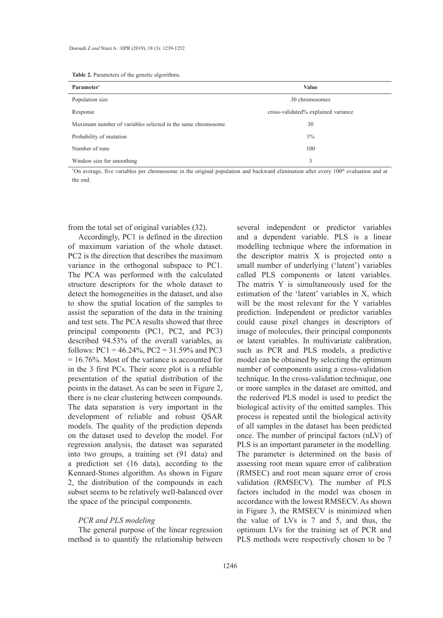| <b>Table 2.</b> Parameters of the genetic algorithms. |  |  |  |
|-------------------------------------------------------|--|--|--|
|-------------------------------------------------------|--|--|--|

| Parameter*                                                  | <b>Value</b>                        |
|-------------------------------------------------------------|-------------------------------------|
| Population size                                             | 30 chromosomes                      |
| Response                                                    | cross-validated% explained variance |
| Maximum number of variables selected in the same chromosome | 30                                  |
| Probability of mutation                                     | $1\%$                               |
| Number of runs                                              | 100                                 |
| Window size for smoothing                                   | 3                                   |

<sup>\*</sup>On average, five variables per chromosome in the original population and backward elimination after every 100<sup>th</sup> evaluation and at the end.

from the total set of original variables (32).

Accordingly, PC1 is defined in the direction of maximum variation of the whole dataset. PC2 is the direction that describes the maximum variance in the orthogonal subspace to PC1. The PCA was performed with the calculated structure descriptors for the whole dataset to detect the homogeneities in the dataset, and also to show the spatial location of the samples to assist the separation of the data in the training and test sets. The PCA results showed that three principal components (PC1, PC2, and PC3) described 94.53% of the overall variables, as follows:  $PC1 = 46.24\%$ ,  $PC2 = 31.59\%$  and  $PC3$ = 16.76%. Most of the variance is accounted for in the 3 first PCs. Their score plot is a reliable presentation of the spatial distribution of the points in the dataset. As can be seen in Figure 2, there is no clear clustering between compounds. The data separation is very important in the development of reliable and robust QSAR models. The quality of the prediction depends on the dataset used to develop the model. For regression analysis, the dataset was separated into two groups, a training set (91 data) and a prediction set (16 data), according to the Kennard-Stones algorithm. As shown in Figure 2, the distribution of the compounds in each subset seems to be relatively well-balanced over the space of the principal components.

#### *PCR and PLS modeling*

The general purpose of the linear regression method is to quantify the relationship between several independent or predictor variables and a dependent variable. PLS is a linear modelling technique where the information in the descriptor matrix X is projected onto a small number of underlying ('latent') variables called PLS components or latent variables. The matrix Y is simultaneously used for the estimation of the 'latent' variables in X, which will be the most relevant for the Y variables prediction. Independent or predictor variables could cause pixel changes in descriptors of image of molecules, their principal components or latent variables. In multivariate calibration, such as PCR and PLS models, a predictive model can be obtained by selecting the optimum number of components using a cross-validation technique. In the cross-validation technique, one or more samples in the dataset are omitted, and the rederived PLS model is used to predict the biological activity of the omitted samples. This process is repeated until the biological activity of all samples in the dataset has been predicted once. The number of principal factors (nLV) of PLS is an important parameter in the modelling. The parameter is determined on the basis of assessing root mean square error of calibration (RMSEC) and root mean square error of cross validation (RMSECV). The number of PLS factors included in the model was chosen in accordance with the lowest RMSECV. As shown in Figure 3, the RMSECV is minimized when the value of LVs is 7 and 5, and thus, the optimum LVs for the training set of PCR and PLS methods were respectively chosen to be 7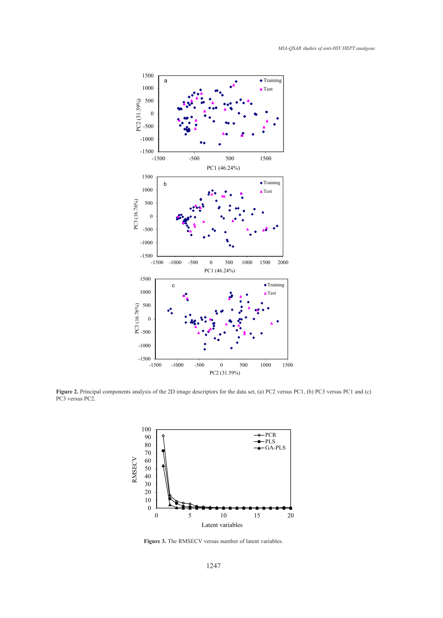

Figure 2. Principal components analysis of the 2D image descriptors for the data set, (a) PC2 versus PC1, (b) PC3 versus PC1 and (c) PC3 versus PC2.



**Figure 3.** The RMSECV versus number of latent variables. **Figure 3.** The RMSECV versus number of latent variables.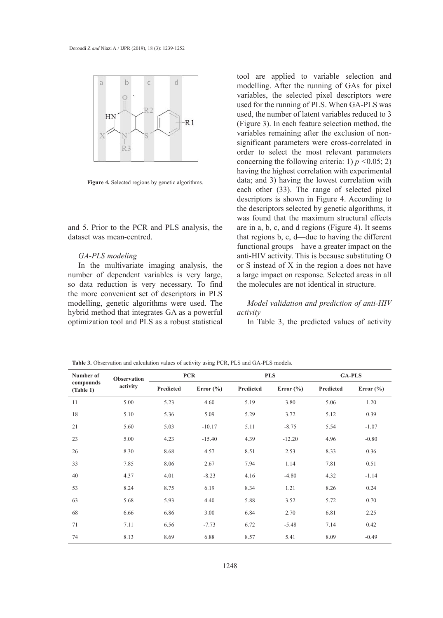

**Figure 4.** Selected regions by genetic algorithms.

and 5. Prior to the PCR and PLS analysis, the are in a, b, c. dataset was mean-centred. The controller activity for GA-PLS and predicted about  $\frac{1}{2}$  and  $\frac{1}{2}$  are distributed about  $\frac{1}{2}$  and  $\frac{1}{2}$  are distributed about  $\frac{1}{2}$  and  $\frac{1}{2}$  are distributed about  $\frac$ 

## *GA-PLS modeling*

In the multivariate imaging analysis, the  $\alpha$  or S instead number of dependent variables is very large, a large impact so data reduction is very necessary. To find the molecule the more convenient set of descriptors in PLS modelling, genetic algorithms were used. The hybrid method that integrates GA as a powerful optimization tool and PLS as a robust statistical

tool are applied to variable selection and modelling. After the running of GAs for pixel variables, the selected pixel descriptors were used for the running of PLS. When GA-PLS was used, the number of latent variables reduced to 3 (Figure 3). In each feature selection method, the variables remaining after the exclusion of nonsignificant parameters were cross-correlated in order to select the most relevant parameters concerning the following criteria: 1) *p <*0.05; 2) having the highest correlation with experimental data; and 3) having the lowest correlation with each other (33). The range of selected pixel descriptors is shown in Figure 4. According to the descriptors selected by genetic algorithms, it was found that the maximum structural effects are in a, b, c, and d regions (Figure 4). It seems that regions b, c, d—due to having the different functional groups—have a greater impact on the anti-HIV activity. This is because substituting O or S instead of X in the region a does not have a large impact on response. Selected areas in all the molecules are not identical in structure.

# *Model validation and prediction of anti-HIV activity*

In Table 3, the predicted values of activity

**Table 3.** Observation and calculation values of activity using PCR, PLS and GA-PLS models.

| Number of<br>compounds<br>(Table 1) | <b>Observation</b> | <b>PCR</b> |               |           | <b>PLS</b>    | <b>GA-PLS</b> |               |
|-------------------------------------|--------------------|------------|---------------|-----------|---------------|---------------|---------------|
|                                     | activity           | Predicted  | Error $(\% )$ | Predicted | Error $(\% )$ | Predicted     | Error $(\% )$ |
| 11                                  | 5.00               | 5.23       | 4.60          | 5.19      | 3.80          | 5.06          | 1.20          |
| 18                                  | 5.10               | 5.36       | 5.09          | 5.29      | 3.72          | 5.12          | 0.39          |
| 21                                  | 5.60               | 5.03       | $-10.17$      | 5.11      | $-8.75$       | 5.54          | $-1.07$       |
| 23                                  | 5.00               | 4.23       | $-15.40$      | 4.39      | $-12.20$      | 4.96          | $-0.80$       |
| 26                                  | 8.30               | 8.68       | 4.57          | 8.51      | 2.53          | 8.33          | 0.36          |
| 33                                  | 7.85               | 8.06       | 2.67          | 7.94      | 1.14          | 7.81          | 0.51          |
| 40                                  | 4.37               | 4.01       | $-8.23$       | 4.16      | $-4.80$       | 4.32          | $-1.14$       |
| 53                                  | 8.24               | 8.75       | 6.19          | 8.34      | 1.21          | 8.26          | 0.24          |
| 63                                  | 5.68               | 5.93       | 4.40          | 5.88      | 3.52          | 5.72          | 0.70          |
| 68                                  | 6.66               | 6.86       | 3.00          | 6.84      | 2.70          | 6.81          | 2.25          |
| 71                                  | 7.11               | 6.56       | $-7.73$       | 6.72      | $-5.48$       | 7.14          | 0.42          |
| 74                                  | 8.13               | 8.69       | 6.88          | 8.57      | 5.41          | 8.09          | $-0.49$       |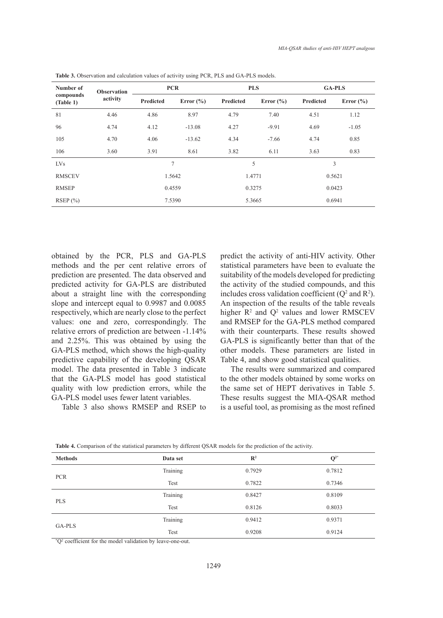| Number of              | <b>Observation</b><br>activity | <b>PCR</b> |               | <b>PLS</b> |               | <b>GA-PLS</b> |               |
|------------------------|--------------------------------|------------|---------------|------------|---------------|---------------|---------------|
| compounds<br>(Table 1) |                                | Predicted  | Error $(\% )$ | Predicted  | Error $(\% )$ | Predicted     | Error $(\% )$ |
| 81                     | 4.46                           | 4.86       | 8.97          | 4.79       | 7.40          | 4.51          | 1.12          |
| 96                     | 4.74                           | 4.12       | $-13.08$      | 4.27       | $-9.91$       | 4.69          | $-1.05$       |
| 105                    | 4.70                           | 4.06       | $-13.62$      | 4.34       | $-7.66$       | 4.74          | 0.85          |
| 106                    | 3.60                           | 3.91       | 8.61          | 3.82       | 6.11          | 3.63          | 0.83          |
| <b>LVs</b>             |                                |            | 7             | 5          |               | 3             |               |
| <b>RMSCEV</b>          |                                |            | 1.5642        |            | 1.4771        |               | 0.5621        |
| <b>RMSEP</b>           |                                | 0.4559     |               | 0.3275     |               | 0.0423        |               |
| RSEP(%)                |                                | 7.5390     |               | 5.3665     |               | 0.6941        |               |

**Table 3.** Observation and calculation values of activity using PCR, PLS and GA-PLS models.

obtained by the PCR, PLS and GA-PLS methods and the per cent relative errors of prediction are presented. The data observed and predicted activity for GA-PLS are distributed about a straight line with the corresponding slope and intercept equal to 0.9987 and 0.0085 respectively, which are nearly close to the perfect values: one and zero, correspondingly. The relative errors of prediction are between -1.14% and 2.25%. This was obtained by using the GA-PLS method, which shows the high-quality predictive capability of the developing QSAR model. The data presented in Table 3 indicate that the GA-PLS model has good statistical quality with low prediction errors, while the GA-PLS model uses fewer latent variables.

Table 3 also shows RMSEP and RSEP to

predict the activity of anti-HIV activity. Other statistical parameters have been to evaluate the suitability of the models developed for predicting the activity of the studied compounds, and this includes cross validation coefficient  $(Q^2 \text{ and } R^2)$ . An inspection of the results of the table reveals higher  $\mathbb{R}^2$  and  $\mathbb{Q}^2$  values and lower RMSCEV and RMSEP for the GA-PLS method compared with their counterparts. These results showed GA-PLS is significantly better than that of the other models. These parameters are listed in Table 4, and show good statistical qualities.

The results were summarized and compared to the other models obtained by some works on the same set of HEPT derivatives in Table 5. These results suggest the MIA-QSAR method is a useful tool, as promising as the most refined

| <b>Methods</b> | Data set | $\mathbb{R}^2$ | $\mathbf{Q}^{2*}$ |  |
|----------------|----------|----------------|-------------------|--|
| <b>PCR</b>     | Training | 0.7929         | 0.7812            |  |
|                | Test     | 0.7822         | 0.7346            |  |
| <b>PLS</b>     | Training | 0.8427         | 0.8109            |  |
|                | Test     | 0.8126         | 0.8033            |  |
| GA-PLS         | Training | 0.9412         | 0.9371            |  |
|                | Test     | 0.9208         | 0.9124            |  |

**Table 4.** Comparison of the statistical parameters by different QSAR models for the prediction of the activity.

\* Q2 coefficient for the model validation by leave-one-out.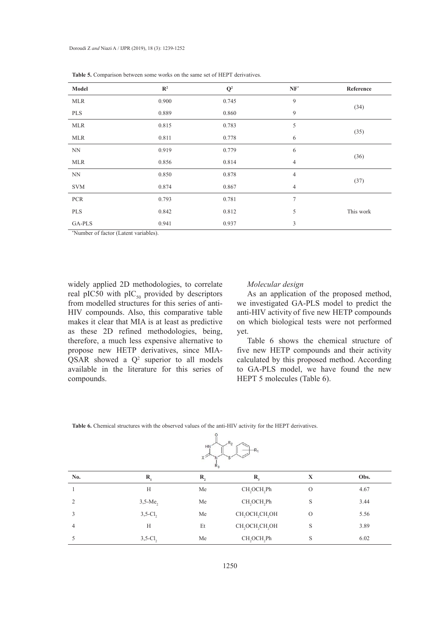| Model      | $\mathbb{R}^2$ | $\mathbf{Q}^2$ | $\mathbf{NF}^*$ | Reference |
|------------|----------------|----------------|-----------------|-----------|
| <b>MLR</b> | 0.900          | 0.745          | $\overline{9}$  |           |
| PLS        | 0.889          | 0.860          | 9               | (34)      |
| <b>MLR</b> | 0.815          | 0.783          | 5               |           |
| <b>MLR</b> | 0.811          | 0.778          | 6               | (35)      |
| <b>NN</b>  | 0.919          | 0.779          | 6               |           |
| <b>MLR</b> | 0.856          | 0.814          | $\overline{4}$  | (36)      |
| NN         | 0.850          | 0.878          | $\overline{4}$  |           |
| <b>SVM</b> | 0.874          | 0.867          | $\overline{4}$  | (37)      |
| <b>PCR</b> | 0.793          | 0.781          | $\overline{7}$  |           |
| PLS        | 0.842          | 0.812          | 5               | This work |
| GA-PLS     | 0.941          | 0.937          | 3               |           |

**Table 5.** Comparison between some works on the same set of HEPT derivatives.

\* Number of factor (Latent variables).  $\mathcal{N}$  0.919  $\mathcal{N}$  0.919 6 (36) 6 (36) 6 (36) 6 (36) 6 (36) 6 (36) 6 (36) 6 (36) 6 (36) 6 (36) 6 (36) 6 (36) 6 (36) 6 (36) 6 (36) 6 (36) 6 (36) 6 (36) 6 (36) 6 (36) 6 (36) 6 (36) 6 (36) 6 (36) 6 (36) 6 (36) 6 (36) 6

widely applied 2D methodologies, to correlate Molecular design real pIC50 with  $\text{pIC}_{50}$  provided by descriptors As an ap from modelled structures for this series of antifrom modelled structures for this series of anti-<br>HIV compounds. Also, this comparative table anti-HIV acti makes it clear that MIA is at least as predictive as these 2D refined methodologies, being, therefore, a much less expensive alternative to propose new HETP derivatives, since MIA- $\widehat{QSAR}$  showed a  $Q^2$  superior to all models calculated by this proposed method available in the literature for this series of compounds. HEPT 5 molecules (Table 6).

# *Molecular design*

As an application of the proposed method, we investigated GA-PLS model to predict the anti-HIV activity of five new HETP compounds on which biological tests were not performed yet.

Table 6 shows the chemical structure of Figure 2.1 The proposed method, we have a strong method of the proposed method, when the proposed method, and their activity calculated by this proposed method. According the literature for this series of to GA-PLS model, we have found the new

|  |  |  |  |  | <b>Table 6.</b> Chemical structures with the observed values of the anti-HIV activity for the HEPT derivatives. |
|--|--|--|--|--|-----------------------------------------------------------------------------------------------------------------|
|  |  |  |  |  |                                                                                                                 |

| Ħ |  |
|---|--|
|   |  |

| $R_3$         |                        |    |                                                     |         |      |  |
|---------------|------------------------|----|-----------------------------------------------------|---------|------|--|
| No.           | R.                     | R, | $R_{3}$                                             | X       | Obs. |  |
|               | H                      | Me | CH <sub>2</sub> OCH <sub>2</sub> Ph                 | $\circ$ | 4.67 |  |
| $\mathcal{L}$ | $3,5$ -Me <sub>2</sub> | Me | CH <sub>2</sub> OCH <sub>2</sub> Ph                 | S       | 3.44 |  |
|               | $3,5$ -Cl <sub>2</sub> | Me | CH <sub>2</sub> OCH <sub>2</sub> CH <sub>2</sub> OH | $\circ$ | 5.56 |  |
| 4             | H                      | Et | CH <sub>2</sub> OCH <sub>2</sub> CH <sub>2</sub> OH | S       | 3.89 |  |
|               | $3,5$ -Cl <sub>2</sub> | Me | CH <sub>2</sub> OCH <sub>2</sub> Ph                 | S       | 6.02 |  |
|               |                        |    |                                                     |         |      |  |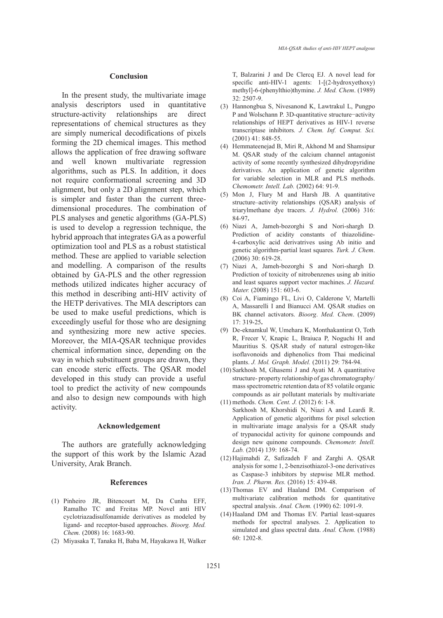### **Conclusion**

In the present study, the multivariate image analysis descriptors used in quantitative structure-activity relationships are direct representations of chemical structures as they are simply numerical decodifications of pixels forming the 2D chemical images. This method allows the application of free drawing software and well known multivariate regression algorithms, such as PLS. In addition, it does not require conformational screening and 3D alignment, but only a 2D alignment step, which is simpler and faster than the current threedimensional procedures. The combination of PLS analyses and genetic algorithms (GA-PLS) is used to develop a regression technique, the hybrid approach that integrates GA as a powerful optimization tool and PLS as a robust statistical method. These are applied to variable selection and modelling. A comparison of the results obtained by GA-PLS and the other regression methods utilized indicates higher accuracy of this method in describing anti-HIV activity of the HETP derivatives. The MIA descriptors can be used to make useful predictions, which is exceedingly useful for those who are designing and synthesizing more new active species. Moreover, the MIA-QSAR technique provides chemical information since, depending on the way in which substituent groups are drawn, they can encode steric effects. The QSAR model developed in this study can provide a useful tool to predict the activity of new compounds and also to design new compounds with high activity.

#### **Acknowledgement**

The authors are gratefully acknowledging the support of this work by the Islamic Azad University, Arak Branch.

## **References**

- Pinheiro JR, Bitencourt M, Da Cunha EFF, (1) Ramalho TC and Freitas MP. Novel anti HIV cyclotriazadisulfonamide derivatives as modeled by ligand- and receptor-based approaches. *Bioorg. Med. Chem.* (2008) 16: 1683-90.
- (2) Miyasaka T, Tanaka H, Baba M, Hayakawa H, Walker

T, Balzarini J and De Clercq EJ. A novel lead for specific anti-HIV-1 agents: 1-[(2-hydroxyethoxy) methyl]-6-(phenylthio)thymine. *J. Med. Chem*. (1989) 32: 2507-9.

- (3) Hannongbua S, Nivesanond K, Lawtrakul L, Pungpo P and Wolschann P. 3D-quantitative structure−activity relationships of HEPT derivatives as HIV-1 reverse transcriptase inhibitors*. J. Chem. Inf. Comput. Sci.* (2001) 41: 848-55.
- (4) Hemmateenejad B, Miri R, Akhond M and Shamsipur M. QSAR study of the calcium channel antagonist activity of some recently synthesized dihydropyridine derivatives. An application of genetic algorithm for variable selection in MLR and PLS methods. *Chemometr. Intell. Lab.* (2002) 64: 91-9.
- (5) Mon J, Flury M and Harsh JB. A quantitative structure–activity relationships (QSAR) analysis of triarylmethane dye tracers. *J. Hydrol.* (2006) 316: 84-97**.**
- Niazi A, Jameh-bozorghi S and Nori-shargh D*.*  (6) Prediction of acidity constants of thiazolidine-4-carboxylic acid derivatrives using Ab initio and genetic algorithm-partial least squares*. Turk. J. Chem*. (2006) 30: 619-28.
- Niazi A, Jameh-bozorghi S and Nori-shargh D*.*  (7) Prediction of toxicity of nitrobenzenes using ab initio and least squares support vector machines. *J. Hazard. Mater.* (2008) 151: 603-6.
- (8) Coi A, Fiamingo FL, Livi O, Calderone V, Martelli A, Massarelli I and Bianucci AM. QSAR studies on BK channel activators. *Bioorg*. *Med. Chem*. (2009) 17: 319-25**.**
- De-eknamkul W, Umehara K, Monthakantirat O, Toth (9) R, Frecer V, Knapic L, Braiuca P, Noguchi H and Mauritius S. QSAR study of natural estrogen-like isoflavonoids and diphenolics from Thai medicinal plants. *J. Mol. Graph. Model.* (2011) 29: 784-94.
- (10) Sarkhosh M, Ghasemi J and Ayati M. A quantitative structure- property relationship of gas chromatography/ mass spectrometric retention data of 85 volatile organic compounds as air pollutant materials by multivariate
- methods. *Chem. Cent. J.* (2012) 6: 1-8. (11) Sarkhosh M, Khorshidi N, Niazi A and Leardi R. Application of genetic algorithms for pixel selection in multivariate image analysis for a QSAR study of trypanocidal activity for quinone compounds and design new quinone compounds. *Chemometr. Intell. Lab.* (2014) 139: 168-74.
- $(12)$  Hajimahdi Z, Safizadeh F and Zarghi A. QSAR analysis for some 1, 2-benzisothiazol-3-one derivatives as Caspase-3 inhibitors by stepwise MLR method. *Iran. J. Pharm. Res.* (2016) 15: 439-48.
- (13) Thomas EV and Haaland DM. Comparison of multivariate calibration methods for quantitative spectral analysis. *Anal. Chem.* (1990) 62: 1091-9.
- (14) Haaland DM and Thomas EV. Partial least-squares methods for spectral analyses. 2. Application to simulated and glass spectral data. *Anal. Chem.* (1988) 60: 1202-8.